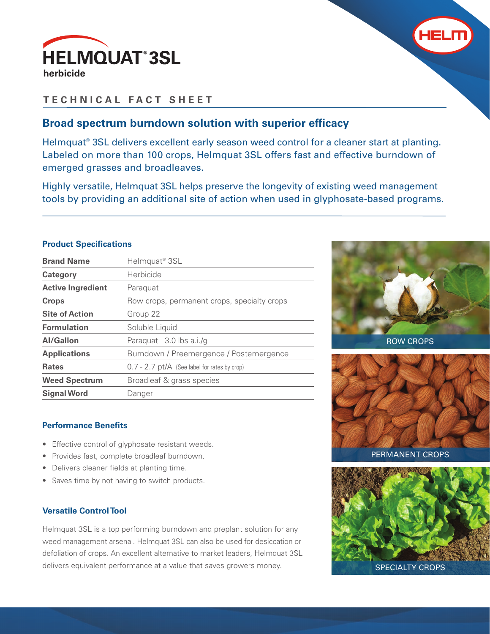



## **TECHNICAL FACT SHEET**

## **Broad spectrum burndown solution with superior efficacy**

Helmquat<sup>®</sup> 3SL delivers excellent early season weed control for a cleaner start at planting. Labeled on more than 100 crops, Helmquat 3SL offers fast and effective burndown of emerged grasses and broadleaves.

Highly versatile, Helmquat 3SL helps preserve the longevity of existing weed management tools by providing an additional site of action when used in glyphosate-based programs.

## **Product Specifications**

| <b>Brand Name</b>        | Helmquat <sup>®</sup> 3SL                      |
|--------------------------|------------------------------------------------|
| Category                 | Herbicide                                      |
| <b>Active Ingredient</b> | Paraquat                                       |
| <b>Crops</b>             | Row crops, permanent crops, specialty crops    |
| <b>Site of Action</b>    | Group 22                                       |
| <b>Formulation</b>       | Soluble Liquid                                 |
| Al/Gallon                | Paraquat 3.0 lbs a.i./g                        |
| <b>Applications</b>      | Burndown / Preemergence / Postemergence        |
| <b>Rates</b>             | $0.7 - 2.7$ pt/A (See label for rates by crop) |
| <b>Weed Spectrum</b>     | Broadleaf & grass species                      |
| <b>Signal Word</b>       | Danger                                         |



- Effective control of glyphosate resistant weeds.
- Provides fast, complete broadleaf burndown.
- Delivers cleaner fields at planting time.
- Saves time by not having to switch products.

## **Versatile Control Tool**

Helmquat 3SL is a top performing burndown and preplant solution for any weed management arsenal. Helmquat 3SL can also be used for desiccation or defoliation of crops. An excellent alternative to market leaders, Helmquat 3SL delivers equivalent performance at a value that saves growers money.